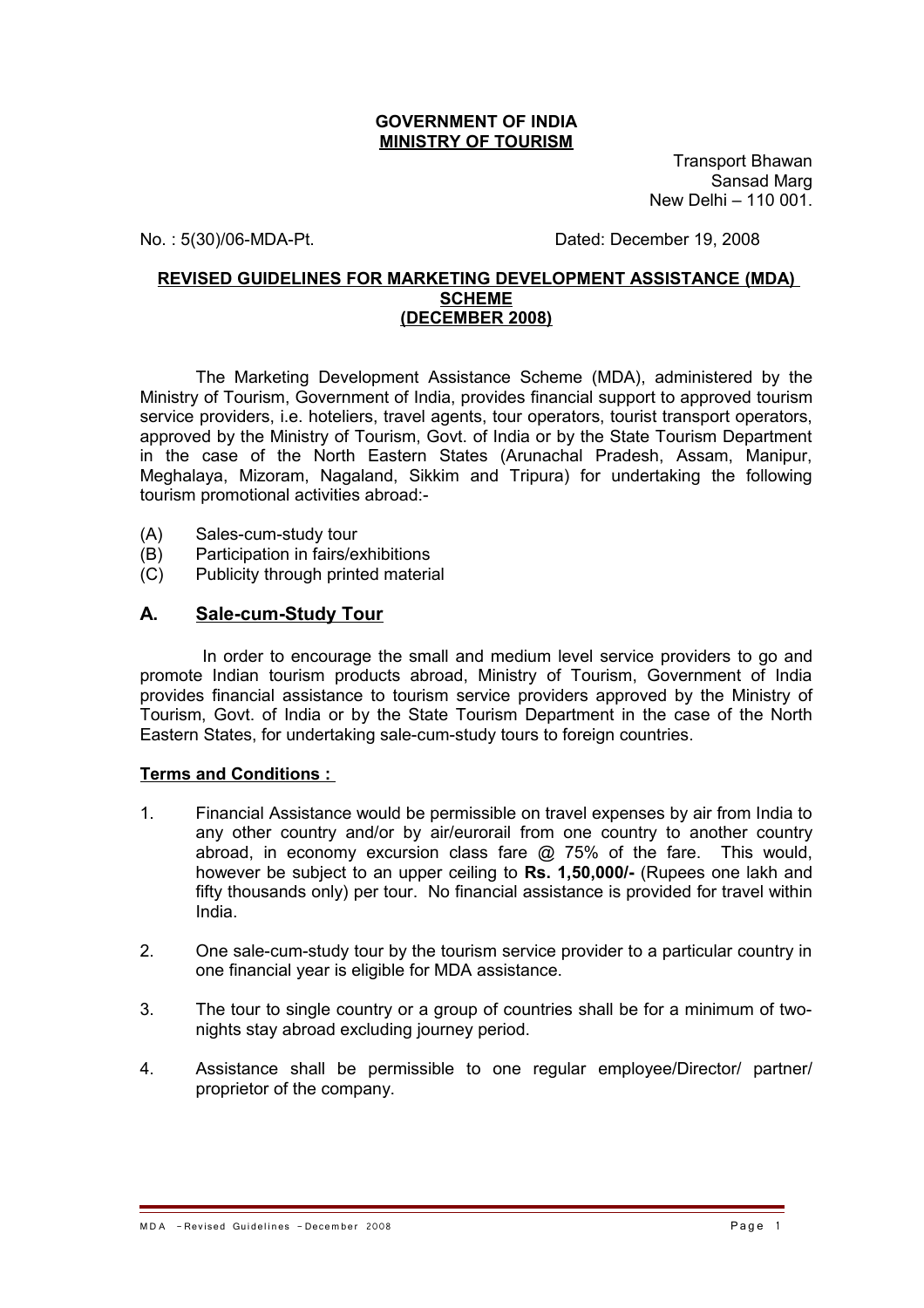#### **GOVERNMENT OF INDIA MINISTRY OF TOURISM**

Transport Bhawan Sansad Marg New Delhi – 110 001.

No. : 5(30)/06-MDA-Pt. Dated: December 19, 2008

#### **REVISED GUIDELINES FOR MARKETING DEVELOPMENT ASSISTANCE (MDA) SCHEME (DECEMBER 2008)**

The Marketing Development Assistance Scheme (MDA), administered by the Ministry of Tourism, Government of India, provides financial support to approved tourism service providers, i.e. hoteliers, travel agents, tour operators, tourist transport operators, approved by the Ministry of Tourism, Govt. of India or by the State Tourism Department in the case of the North Eastern States (Arunachal Pradesh, Assam, Manipur, Meghalaya, Mizoram, Nagaland, Sikkim and Tripura) for undertaking the following tourism promotional activities abroad:-

- (A) Sales-cum-study tour
- (B) Participation in fairs/exhibitions
- (C) Publicity through printed material

## **A. Sale-cum-Study Tour**

 In order to encourage the small and medium level service providers to go and promote Indian tourism products abroad, Ministry of Tourism, Government of India provides financial assistance to tourism service providers approved by the Ministry of Tourism, Govt. of India or by the State Tourism Department in the case of the North Eastern States, for undertaking sale-cum-study tours to foreign countries.

#### **Terms and Conditions :**

- 1. Financial Assistance would be permissible on travel expenses by air from India to any other country and/or by air/eurorail from one country to another country abroad, in economy excursion class fare @ 75% of the fare. This would, however be subject to an upper ceiling to **Rs. 1,50,000/-** (Rupees one lakh and fifty thousands only) per tour. No financial assistance is provided for travel within India.
- 2. One sale-cum-study tour by the tourism service provider to a particular country in one financial year is eligible for MDA assistance.
- 3. The tour to single country or a group of countries shall be for a minimum of twonights stay abroad excluding journey period.
- 4. Assistance shall be permissible to one regular employee/Director/ partner/ proprietor of the company.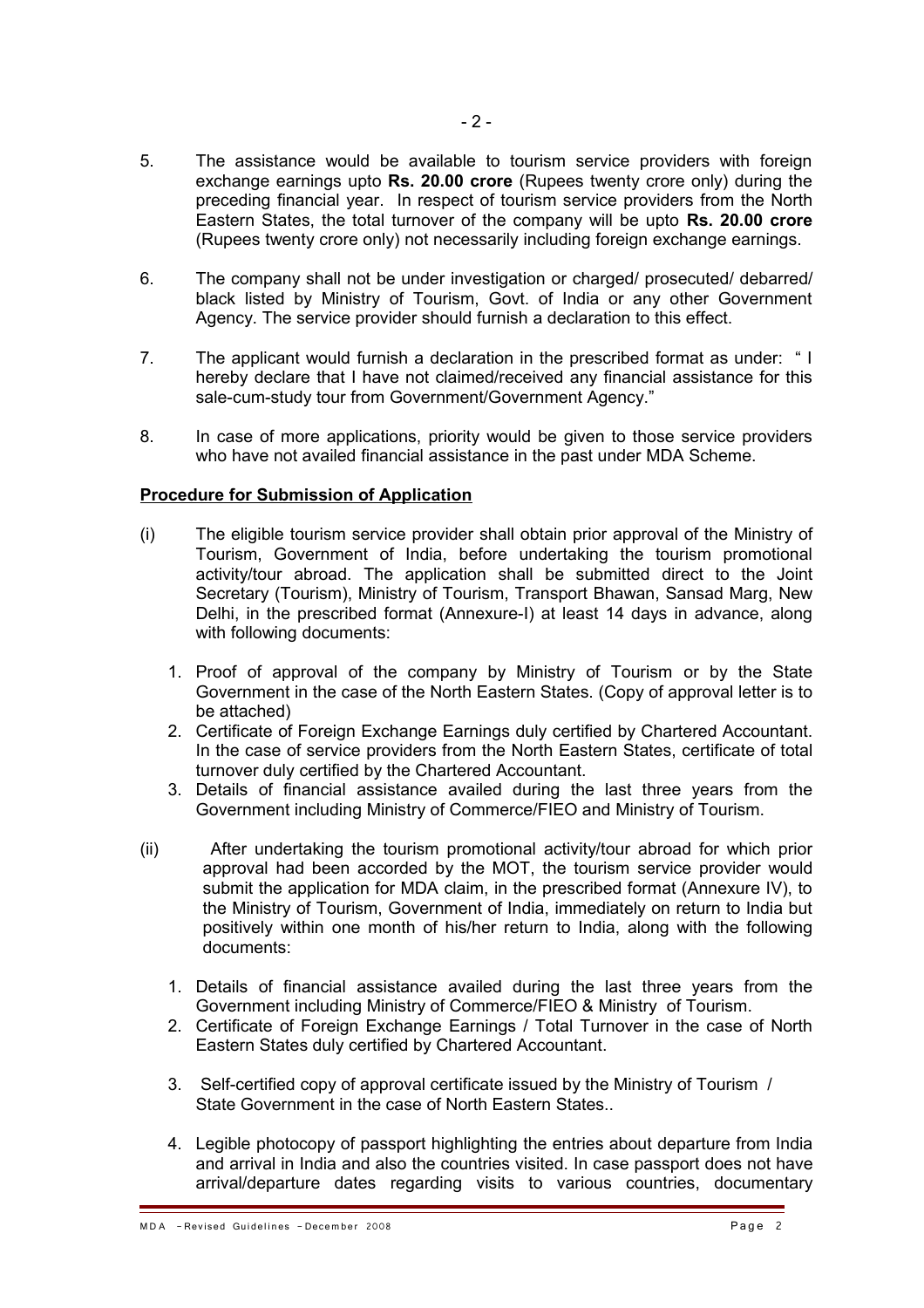- 5. The assistance would be available to tourism service providers with foreign exchange earnings upto **Rs. 20.00 crore** (Rupees twenty crore only) during the preceding financial year. In respect of tourism service providers from the North Eastern States, the total turnover of the company will be upto **Rs. 20.00 crore** (Rupees twenty crore only) not necessarily including foreign exchange earnings.
- 6. The company shall not be under investigation or charged/ prosecuted/ debarred/ black listed by Ministry of Tourism, Govt. of India or any other Government Agency. The service provider should furnish a declaration to this effect.
- 7. The applicant would furnish a declaration in the prescribed format as under: " I hereby declare that I have not claimed/received any financial assistance for this sale-cum-study tour from Government/Government Agency."
- 8. In case of more applications, priority would be given to those service providers who have not availed financial assistance in the past under MDA Scheme.

#### **Procedure for Submission of Application**

- (i) The eligible tourism service provider shall obtain prior approval of the Ministry of Tourism, Government of India, before undertaking the tourism promotional activity/tour abroad. The application shall be submitted direct to the Joint Secretary (Tourism), Ministry of Tourism, Transport Bhawan, Sansad Marg, New Delhi, in the prescribed format (Annexure-I) at least 14 days in advance, along with following documents:
	- 1. Proof of approval of the company by Ministry of Tourism or by the State Government in the case of the North Eastern States. (Copy of approval letter is to be attached)
	- 2. Certificate of Foreign Exchange Earnings duly certified by Chartered Accountant. In the case of service providers from the North Eastern States, certificate of total turnover duly certified by the Chartered Accountant.
	- 3. Details of financial assistance availed during the last three years from the Government including Ministry of Commerce/FIEO and Ministry of Tourism.
- (ii) After undertaking the tourism promotional activity/tour abroad for which prior approval had been accorded by the MOT, the tourism service provider would submit the application for MDA claim, in the prescribed format (Annexure IV), to the Ministry of Tourism, Government of India, immediately on return to India but positively within one month of his/her return to India, along with the following documents:
	- 1. Details of financial assistance availed during the last three years from the Government including Ministry of Commerce/FIEO & Ministry of Tourism.
	- 2. Certificate of Foreign Exchange Earnings / Total Turnover in the case of North Eastern States duly certified by Chartered Accountant.
	- 3. Self-certified copy of approval certificate issued by the Ministry of Tourism / State Government in the case of North Eastern States..
	- 4. Legible photocopy of passport highlighting the entries about departure from India and arrival in India and also the countries visited. In case passport does not have arrival/departure dates regarding visits to various countries, documentary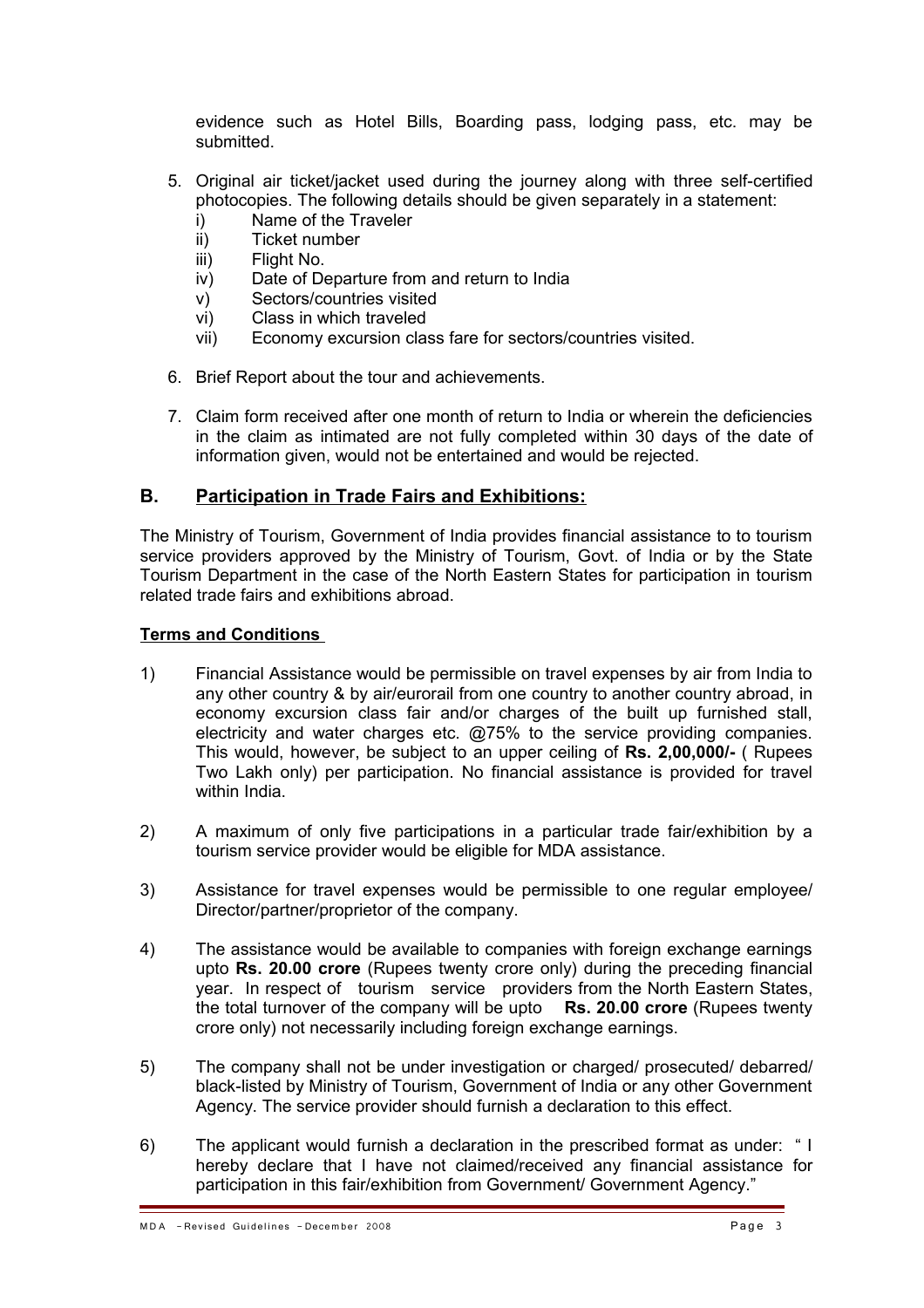evidence such as Hotel Bills, Boarding pass, lodging pass, etc. may be submitted.

- 5. Original air ticket/jacket used during the journey along with three self-certified photocopies. The following details should be given separately in a statement:
	- i) Name of the Traveler
	- ii) Ticket number
	- iii) Flight No.
	- iv) Date of Departure from and return to India
	- v) Sectors/countries visited
	- vi) Class in which traveled
	- vii) Economy excursion class fare for sectors/countries visited.
- 6. Brief Report about the tour and achievements.
- 7. Claim form received after one month of return to India or wherein the deficiencies in the claim as intimated are not fully completed within 30 days of the date of information given, would not be entertained and would be rejected.

# **B. Participation in Trade Fairs and Exhibitions:**

The Ministry of Tourism, Government of India provides financial assistance to to tourism service providers approved by the Ministry of Tourism, Govt. of India or by the State Tourism Department in the case of the North Eastern States for participation in tourism related trade fairs and exhibitions abroad.

## **Terms and Conditions**

- 1) Financial Assistance would be permissible on travel expenses by air from India to any other country & by air/eurorail from one country to another country abroad, in economy excursion class fair and/or charges of the built up furnished stall, electricity and water charges etc. @75% to the service providing companies. This would, however, be subject to an upper ceiling of **Rs. 2,00,000/-** ( Rupees Two Lakh only) per participation. No financial assistance is provided for travel within India.
- 2) A maximum of only five participations in a particular trade fair/exhibition by a tourism service provider would be eligible for MDA assistance.
- 3) Assistance for travel expenses would be permissible to one regular employee/ Director/partner/proprietor of the company.
- 4) The assistance would be available to companies with foreign exchange earnings upto **Rs. 20.00 crore** (Rupees twenty crore only) during the preceding financial year. In respect of tourism service providers from the North Eastern States, the total turnover of the company will be upto **Rs. 20.00 crore** (Rupees twenty crore only) not necessarily including foreign exchange earnings.
- 5) The company shall not be under investigation or charged/ prosecuted/ debarred/ black-listed by Ministry of Tourism, Government of India or any other Government Agency. The service provider should furnish a declaration to this effect.
- 6) The applicant would furnish a declaration in the prescribed format as under: " I hereby declare that I have not claimed/received any financial assistance for participation in this fair/exhibition from Government/ Government Agency."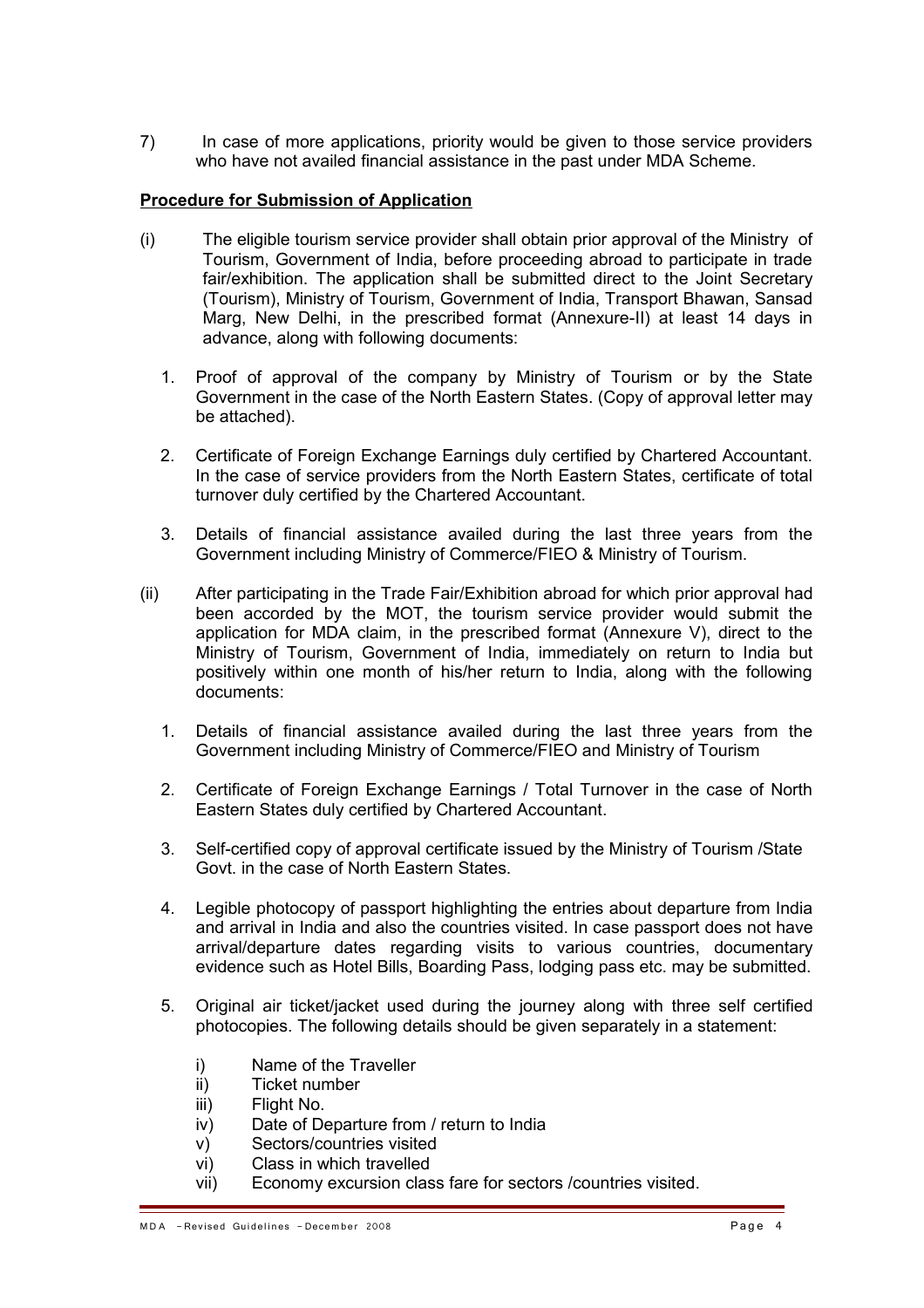7) In case of more applications, priority would be given to those service providers who have not availed financial assistance in the past under MDA Scheme.

## **Procedure for Submission of Application**

- (i) The eligible tourism service provider shall obtain prior approval of the Ministry of Tourism, Government of India, before proceeding abroad to participate in trade fair/exhibition. The application shall be submitted direct to the Joint Secretary (Tourism), Ministry of Tourism, Government of India, Transport Bhawan, Sansad Marg, New Delhi, in the prescribed format (Annexure-II) at least 14 days in advance, along with following documents:
	- 1. Proof of approval of the company by Ministry of Tourism or by the State Government in the case of the North Eastern States. (Copy of approval letter may be attached).
	- 2. Certificate of Foreign Exchange Earnings duly certified by Chartered Accountant. In the case of service providers from the North Eastern States, certificate of total turnover duly certified by the Chartered Accountant.
	- 3. Details of financial assistance availed during the last three years from the Government including Ministry of Commerce/FIEO & Ministry of Tourism.
- (ii) After participating in the Trade Fair/Exhibition abroad for which prior approval had been accorded by the MOT, the tourism service provider would submit the application for MDA claim, in the prescribed format (Annexure V), direct to the Ministry of Tourism, Government of India, immediately on return to India but positively within one month of his/her return to India, along with the following documents:
	- 1. Details of financial assistance availed during the last three years from the Government including Ministry of Commerce/FIEO and Ministry of Tourism
	- 2. Certificate of Foreign Exchange Earnings / Total Turnover in the case of North Eastern States duly certified by Chartered Accountant.
	- 3. Self-certified copy of approval certificate issued by the Ministry of Tourism /State Govt. in the case of North Eastern States.
	- 4. Legible photocopy of passport highlighting the entries about departure from India and arrival in India and also the countries visited. In case passport does not have arrival/departure dates regarding visits to various countries, documentary evidence such as Hotel Bills, Boarding Pass, lodging pass etc. may be submitted.
	- 5. Original air ticket/jacket used during the journey along with three self certified photocopies. The following details should be given separately in a statement:
		- i) Name of the Traveller
		- ii) Ticket number
		- iii) Flight No.
		- iv) Date of Departure from / return to India
		- v) Sectors/countries visited
		- vi) Class in which travelled
		- vii) Economy excursion class fare for sectors /countries visited.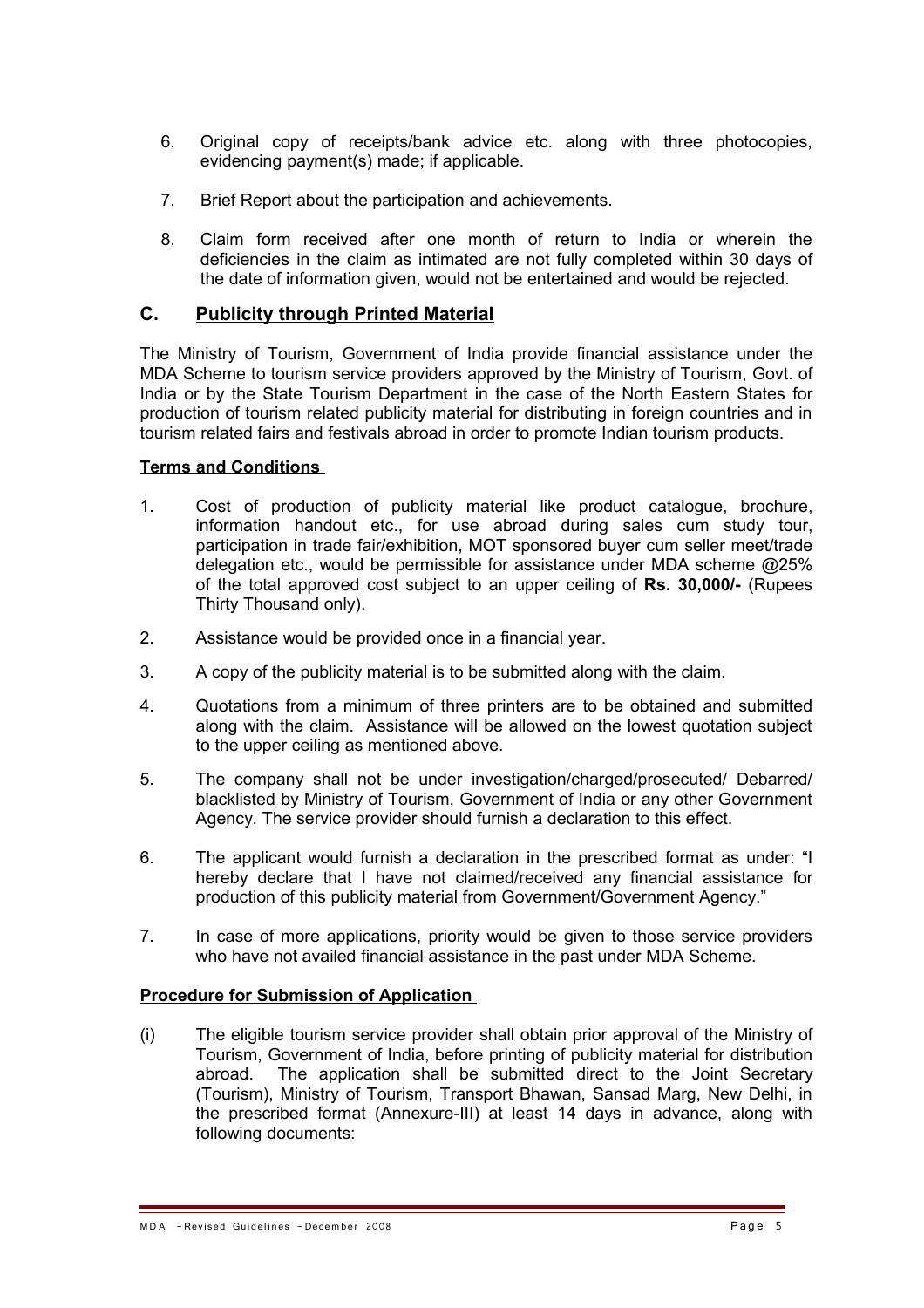- 6. Original copy of receipts/bank advice etc. along with three photocopies, evidencing payment(s) made; if applicable.
- 7. Brief Report about the participation and achievements.
- 8. Claim form received after one month of return to India or wherein the deficiencies in the claim as intimated are not fully completed within 30 days of the date of information given, would not be entertained and would be rejected.

# **C. Publicity through Printed Material**

The Ministry of Tourism, Government of India provide financial assistance under the MDA Scheme to tourism service providers approved by the Ministry of Tourism, Govt. of India or by the State Tourism Department in the case of the North Eastern States for production of tourism related publicity material for distributing in foreign countries and in tourism related fairs and festivals abroad in order to promote Indian tourism products.

## **Terms and Conditions**

- 1. Cost of production of publicity material like product catalogue, brochure, information handout etc., for use abroad during sales cum study tour, participation in trade fair/exhibition, MOT sponsored buyer cum seller meet/trade delegation etc., would be permissible for assistance under MDA scheme @25% of the total approved cost subject to an upper ceiling of **Rs. 30,000/-** (Rupees Thirty Thousand only).
- 2. Assistance would be provided once in a financial year.
- 3. A copy of the publicity material is to be submitted along with the claim.
- 4. Quotations from a minimum of three printers are to be obtained and submitted along with the claim. Assistance will be allowed on the lowest quotation subject to the upper ceiling as mentioned above.
- 5. The company shall not be under investigation/charged/prosecuted/ Debarred/ blacklisted by Ministry of Tourism, Government of India or any other Government Agency. The service provider should furnish a declaration to this effect.
- 6. The applicant would furnish a declaration in the prescribed format as under: "I hereby declare that I have not claimed/received any financial assistance for production of this publicity material from Government/Government Agency."
- 7. In case of more applications, priority would be given to those service providers who have not availed financial assistance in the past under MDA Scheme.

#### **Procedure for Submission of Application**

(i) The eligible tourism service provider shall obtain prior approval of the Ministry of Tourism, Government of India, before printing of publicity material for distribution abroad. The application shall be submitted direct to the Joint Secretary (Tourism), Ministry of Tourism, Transport Bhawan, Sansad Marg, New Delhi, in the prescribed format (Annexure-III) at least 14 days in advance, along with following documents: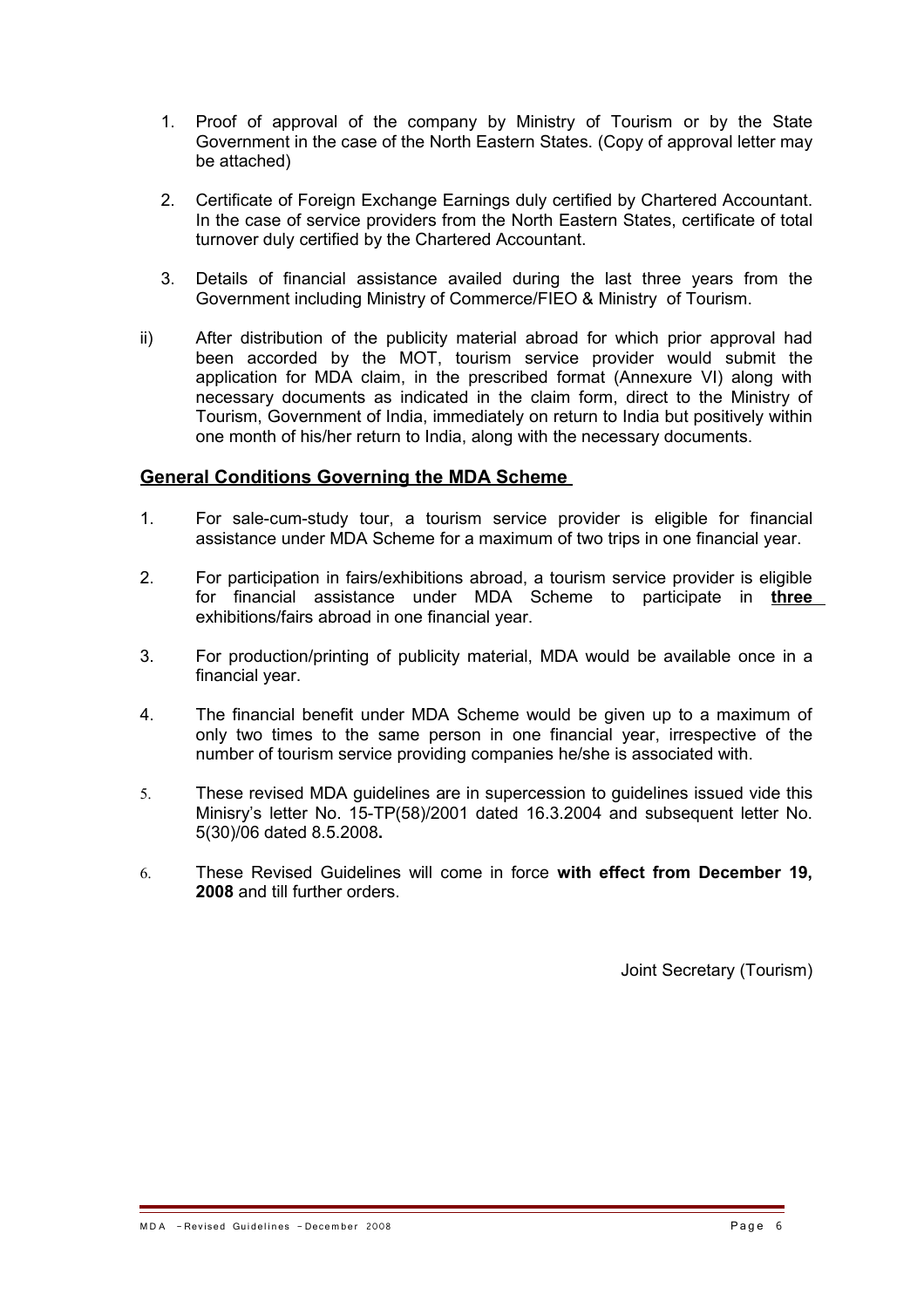- 1. Proof of approval of the company by Ministry of Tourism or by the State Government in the case of the North Eastern States. (Copy of approval letter may be attached)
- 2. Certificate of Foreign Exchange Earnings duly certified by Chartered Accountant. In the case of service providers from the North Eastern States, certificate of total turnover duly certified by the Chartered Accountant.
- 3. Details of financial assistance availed during the last three years from the Government including Ministry of Commerce/FIEO & Ministry of Tourism.
- ii) After distribution of the publicity material abroad for which prior approval had been accorded by the MOT, tourism service provider would submit the application for MDA claim, in the prescribed format (Annexure VI) along with necessary documents as indicated in the claim form, direct to the Ministry of Tourism, Government of India, immediately on return to India but positively within one month of his/her return to India, along with the necessary documents.

# **General Conditions Governing the MDA Scheme**

- 1. For sale-cum-study tour, a tourism service provider is eligible for financial assistance under MDA Scheme for a maximum of two trips in one financial year.
- 2. For participation in fairs/exhibitions abroad, a tourism service provider is eligible for financial assistance under MDA Scheme to participate in **three** exhibitions/fairs abroad in one financial year.
- 3. For production/printing of publicity material, MDA would be available once in a financial year.
- 4. The financial benefit under MDA Scheme would be given up to a maximum of only two times to the same person in one financial year, irrespective of the number of tourism service providing companies he/she is associated with.
- 5. These revised MDA guidelines are in supercession to guidelines issued vide this Minisry's letter No. 15-TP(58)/2001 dated 16.3.2004 and subsequent letter No. 5(30)/06 dated 8.5.2008**.**
- 6. These Revised Guidelines will come in force **with effect from December 19, 2008** and till further orders.

Joint Secretary (Tourism)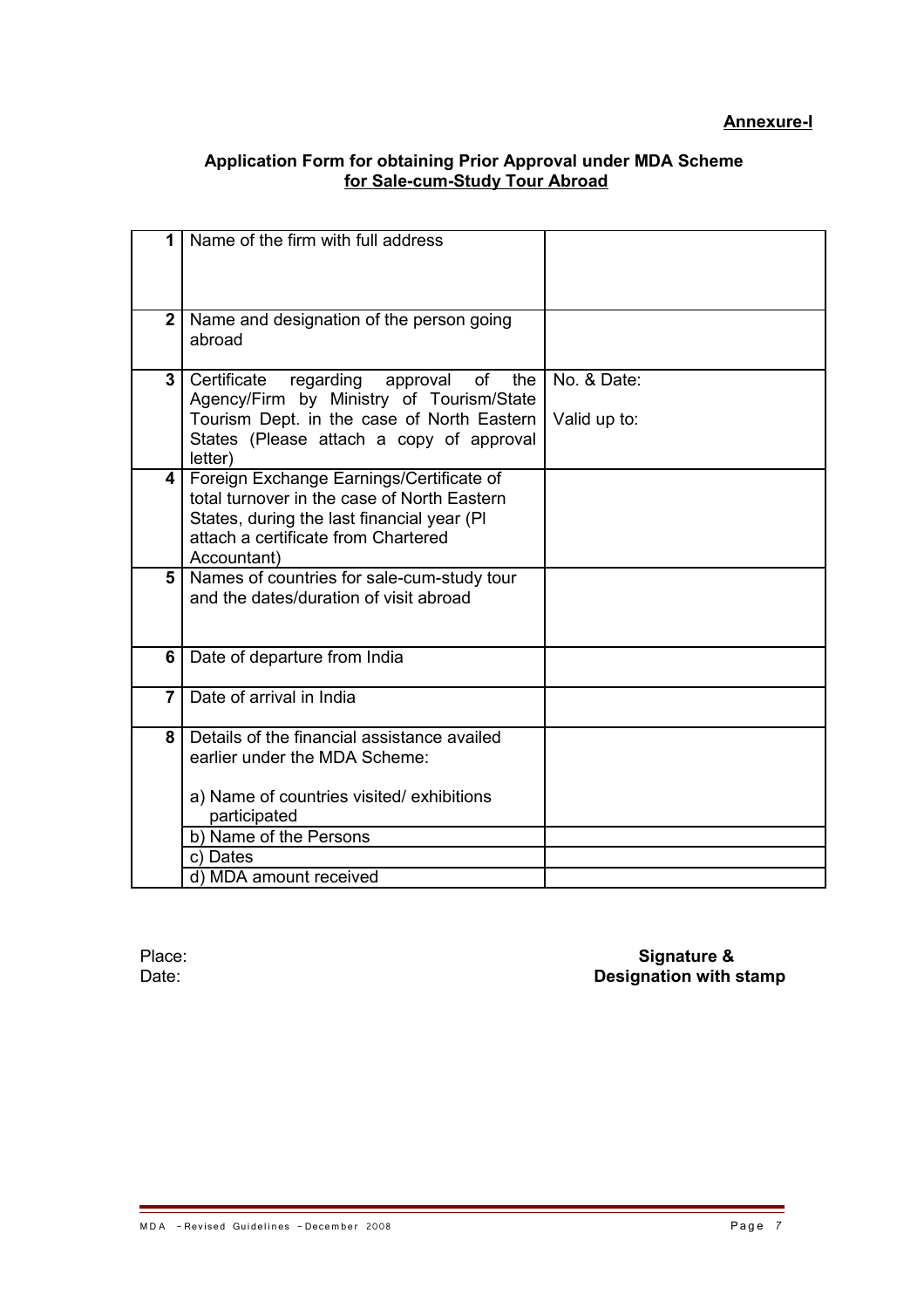## **Application Form for obtaining Prior Approval under MDA Scheme for Sale-cum-Study Tour Abroad**

| 1              | Name of the firm with full address                                                                                                                                                          |              |
|----------------|---------------------------------------------------------------------------------------------------------------------------------------------------------------------------------------------|--------------|
|                |                                                                                                                                                                                             |              |
| $\mathbf{2}$   | Name and designation of the person going<br>abroad                                                                                                                                          |              |
| $\overline{3}$ | Certificate<br>regarding<br>of<br>approval<br>the<br>Agency/Firm by Ministry of Tourism/State                                                                                               | No. & Date:  |
|                | Tourism Dept. in the case of North Eastern<br>States (Please attach a copy of approval<br>letter)                                                                                           | Valid up to: |
| 4              | Foreign Exchange Earnings/Certificate of<br>total turnover in the case of North Eastern<br>States, during the last financial year (PI<br>attach a certificate from Chartered<br>Accountant) |              |
| 5              | Names of countries for sale-cum-study tour<br>and the dates/duration of visit abroad                                                                                                        |              |
| 6              | Date of departure from India                                                                                                                                                                |              |
| $\overline{7}$ | Date of arrival in India                                                                                                                                                                    |              |
| 8              | Details of the financial assistance availed<br>earlier under the MDA Scheme:<br>a) Name of countries visited/exhibitions<br>participated                                                    |              |
|                | b) Name of the Persons                                                                                                                                                                      |              |
|                | c) Dates                                                                                                                                                                                    |              |
|                | d) MDA amount received                                                                                                                                                                      |              |

Place: **Signature &** Date: **Designation with stamp**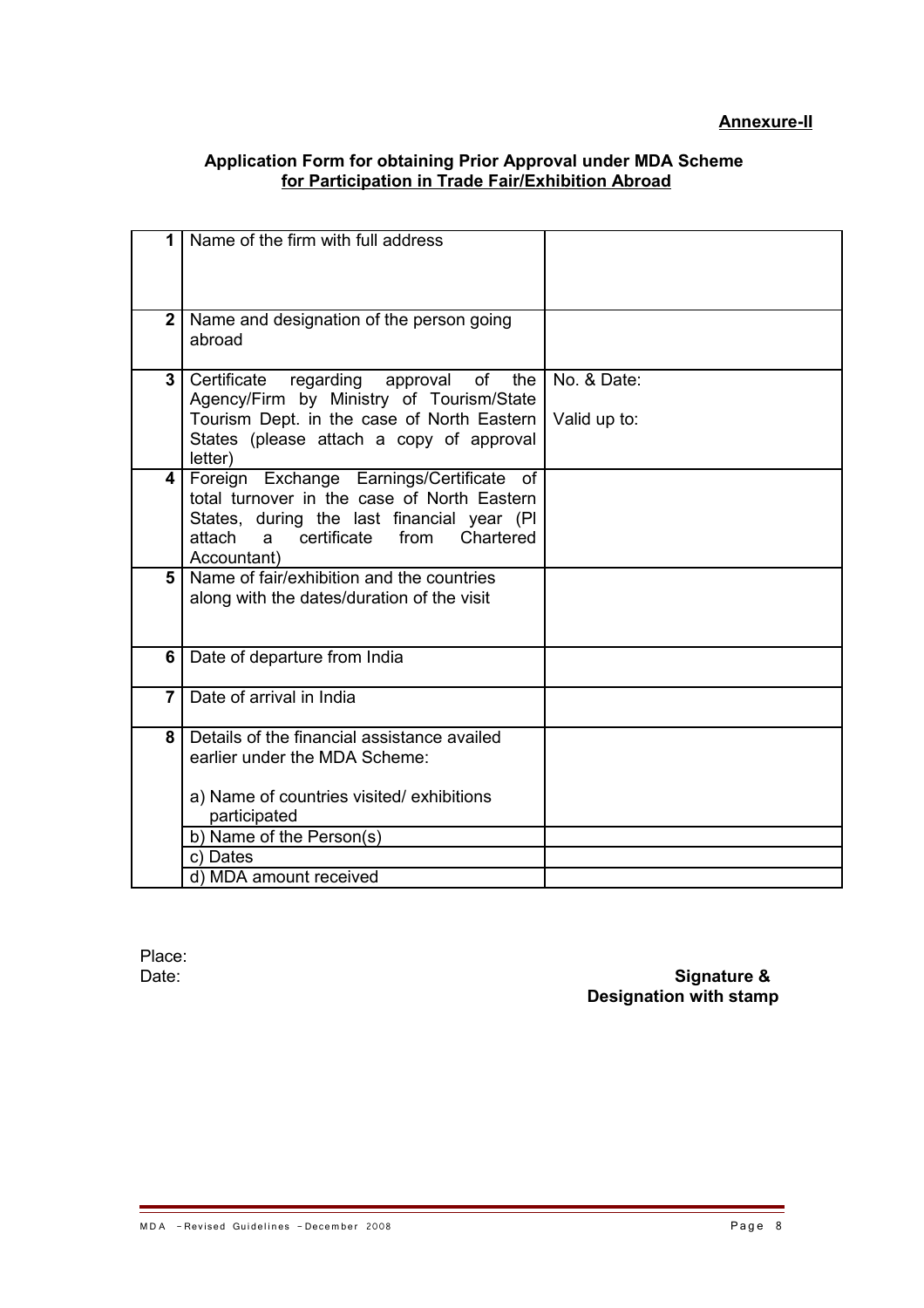## **Application Form for obtaining Prior Approval under MDA Scheme for Participation in Trade Fair/Exhibition Abroad**

| 1              | Name of the firm with full address                                                                                                                                                                          |              |
|----------------|-------------------------------------------------------------------------------------------------------------------------------------------------------------------------------------------------------------|--------------|
|                |                                                                                                                                                                                                             |              |
| $\overline{2}$ | Name and designation of the person going<br>abroad                                                                                                                                                          |              |
| 3              | Certificate<br>regarding approval<br>of<br>the<br>Agency/Firm by Ministry of Tourism/State                                                                                                                  | No. & Date:  |
|                | Tourism Dept. in the case of North Eastern<br>States (please attach a copy of approval<br>letter)                                                                                                           | Valid up to: |
| 4              | Foreign Exchange Earnings/Certificate<br>of<br>total turnover in the case of North Eastern<br>States, during the last financial year (PI)<br>attach<br>certificate<br>from<br>Chartered<br>a<br>Accountant) |              |
| 5              | Name of fair/exhibition and the countries<br>along with the dates/duration of the visit                                                                                                                     |              |
| 6              | Date of departure from India                                                                                                                                                                                |              |
| $\overline{7}$ | Date of arrival in India                                                                                                                                                                                    |              |
| 8              | Details of the financial assistance availed<br>earlier under the MDA Scheme:<br>a) Name of countries visited/exhibitions                                                                                    |              |
|                | participated<br>b) Name of the Person(s)                                                                                                                                                                    |              |
|                | c) Dates                                                                                                                                                                                                    |              |
|                | d) MDA amount received                                                                                                                                                                                      |              |

Place:<br>Date:

Date: **Signature & Designation with stamp**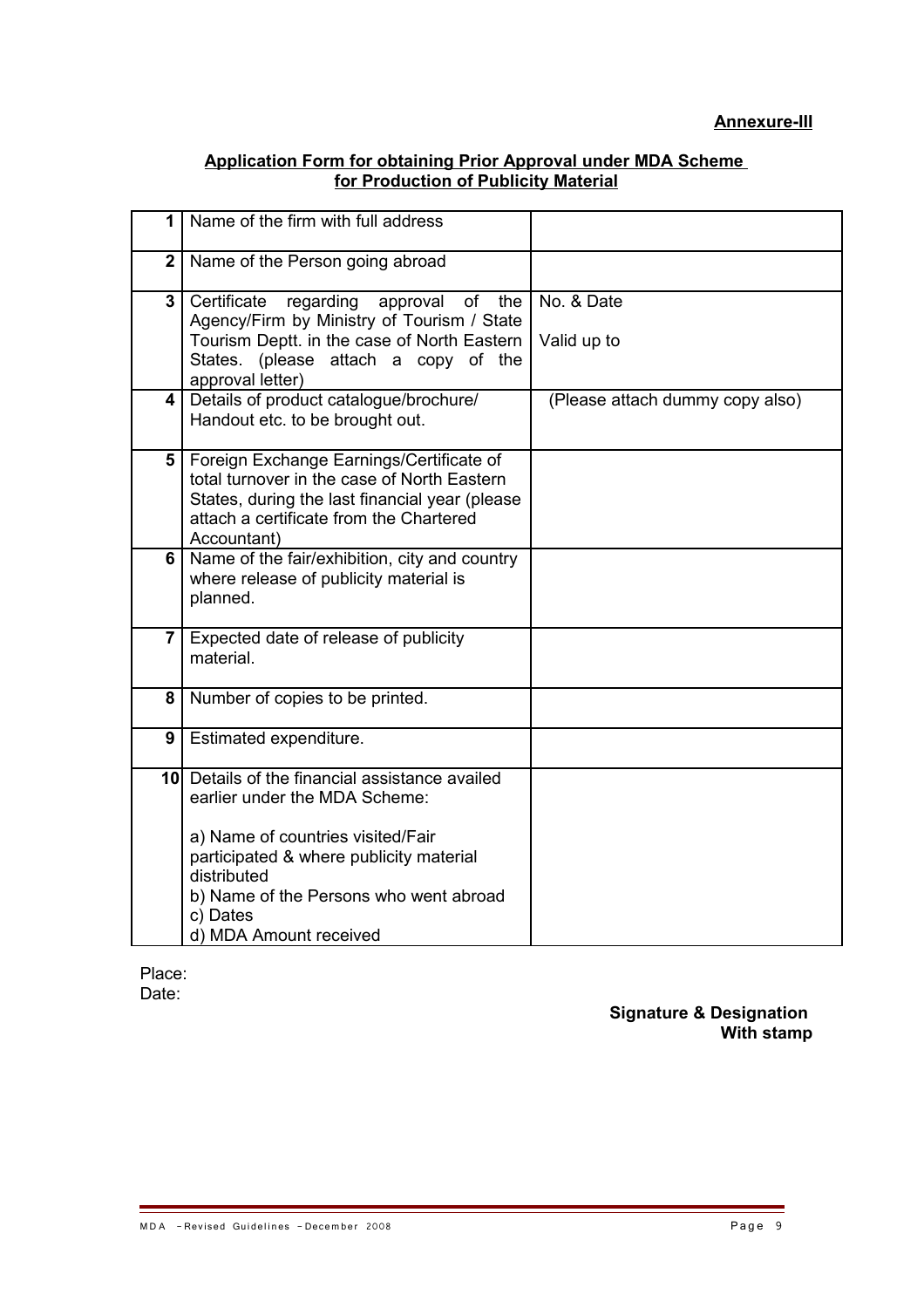## **Application Form for obtaining Prior Approval under MDA Scheme for Production of Publicity Material**

| 1                       | Name of the firm with full address                                                                                                                                                                                                                             |                                 |
|-------------------------|----------------------------------------------------------------------------------------------------------------------------------------------------------------------------------------------------------------------------------------------------------------|---------------------------------|
| $\mathbf{2}$            | Name of the Person going abroad                                                                                                                                                                                                                                |                                 |
| 3                       | Certificate<br>regarding<br>approval of<br>the<br>Agency/Firm by Ministry of Tourism / State<br>Tourism Deptt. in the case of North Eastern<br>States. (please attach a copy of the<br>approval letter)                                                        | No. & Date<br>Valid up to       |
| $\overline{\mathbf{4}}$ | Details of product catalogue/brochure/<br>Handout etc. to be brought out.                                                                                                                                                                                      | (Please attach dummy copy also) |
| 5                       | Foreign Exchange Earnings/Certificate of<br>total turnover in the case of North Eastern<br>States, during the last financial year (please<br>attach a certificate from the Chartered<br>Accountant)                                                            |                                 |
|                         | 6   Name of the fair/exhibition, city and country<br>where release of publicity material is<br>planned.                                                                                                                                                        |                                 |
| $\overline{7}$          | Expected date of release of publicity<br>material.                                                                                                                                                                                                             |                                 |
| 8                       | Number of copies to be printed.                                                                                                                                                                                                                                |                                 |
| 9                       | Estimated expenditure.                                                                                                                                                                                                                                         |                                 |
|                         | 10 Details of the financial assistance availed<br>earlier under the MDA Scheme:<br>a) Name of countries visited/Fair<br>participated & where publicity material<br>distributed<br>b) Name of the Persons who went abroad<br>c) Dates<br>d) MDA Amount received |                                 |

Place: Date:

**Signature & Designation With stamp**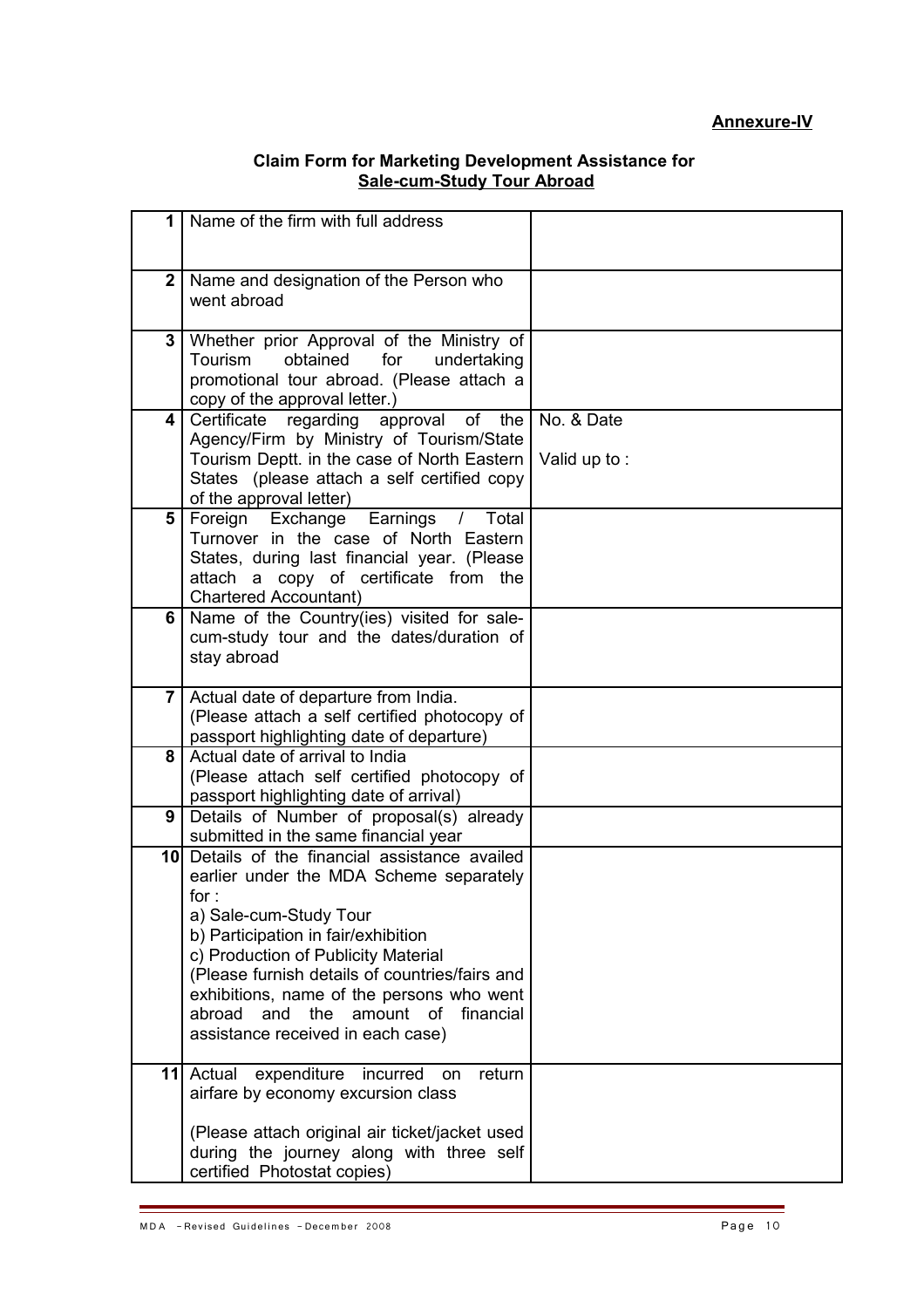## **Annexure-IV**

#### **Claim Form for Marketing Development Assistance for Sale-cum-Study Tour Abroad**

| $\mathbf 1$    | Name of the firm with full address                                                                                                                                                                                                                                                                                                                                                               |                            |
|----------------|--------------------------------------------------------------------------------------------------------------------------------------------------------------------------------------------------------------------------------------------------------------------------------------------------------------------------------------------------------------------------------------------------|----------------------------|
| $\mathbf{2}$   | Name and designation of the Person who<br>went abroad                                                                                                                                                                                                                                                                                                                                            |                            |
| 3              | Whether prior Approval of the Ministry of<br>obtained<br>Tourism<br>for<br>undertaking<br>promotional tour abroad. (Please attach a<br>copy of the approval letter.)                                                                                                                                                                                                                             |                            |
| 4              | Certificate regarding approval of<br>the<br>Agency/Firm by Ministry of Tourism/State<br>Tourism Deptt. in the case of North Eastern<br>States (please attach a self certified copy<br>of the approval letter)                                                                                                                                                                                    | No. & Date<br>Valid up to: |
| 5              | Earnings<br>Foreign Exchange<br>Total<br>$\prime$<br>Turnover in the case of North Eastern<br>States, during last financial year. (Please<br>attach a copy of certificate from the<br><b>Chartered Accountant)</b>                                                                                                                                                                               |                            |
| 6              | Name of the Country(ies) visited for sale-<br>cum-study tour and the dates/duration of<br>stay abroad                                                                                                                                                                                                                                                                                            |                            |
| 7 <sup>1</sup> | Actual date of departure from India.<br>(Please attach a self certified photocopy of<br>passport highlighting date of departure)                                                                                                                                                                                                                                                                 |                            |
| 8              | Actual date of arrival to India<br>(Please attach self certified photocopy of<br>passport highlighting date of arrival)                                                                                                                                                                                                                                                                          |                            |
| 9              | Details of Number of proposal(s) already<br>submitted in the same financial year                                                                                                                                                                                                                                                                                                                 |                            |
|                | 10 Details of the financial assistance availed<br>earlier under the MDA Scheme separately<br>for :<br>a) Sale-cum-Study Tour<br>b) Participation in fair/exhibition<br>c) Production of Publicity Material<br>(Please furnish details of countries/fairs and<br>exhibitions, name of the persons who went<br>the<br>abroad<br>and<br>amount of<br>financial<br>assistance received in each case) |                            |
|                | expenditure<br>11 Actual<br>return<br>incurred<br>on<br>airfare by economy excursion class<br>(Please attach original air ticket/jacket used<br>during the journey along with three self<br>certified Photostat copies)                                                                                                                                                                          |                            |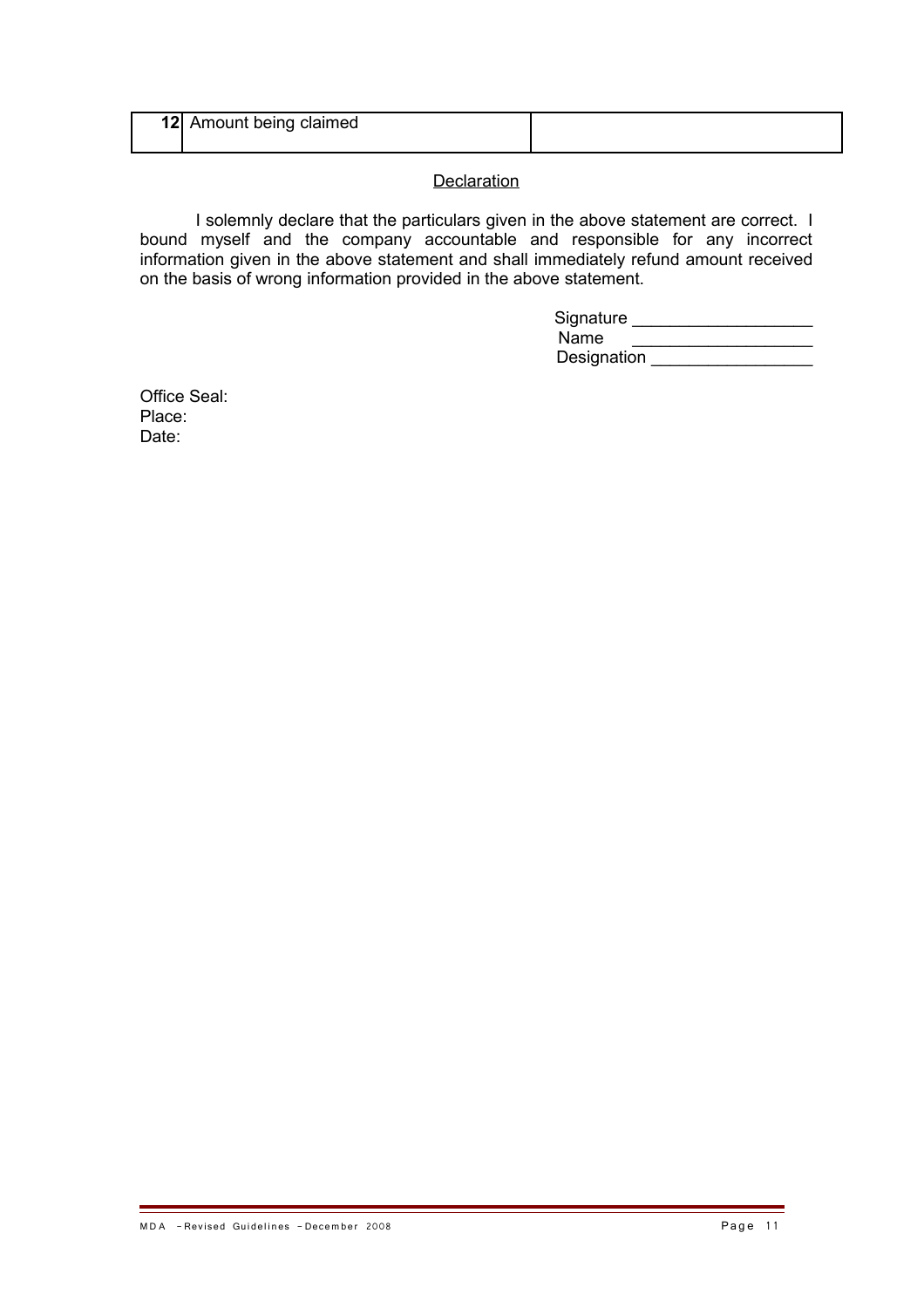| 12 | Amount being claimed |  |
|----|----------------------|--|
|    |                      |  |

# **Declaration**

I solemnly declare that the particulars given in the above statement are correct. I bound myself and the company accountable and responsible for any incorrect information given in the above statement and shall immediately refund amount received on the basis of wrong information provided in the above statement.

| Signature   |  |
|-------------|--|
| Name        |  |
| Designation |  |

Office Seal: Place: Date: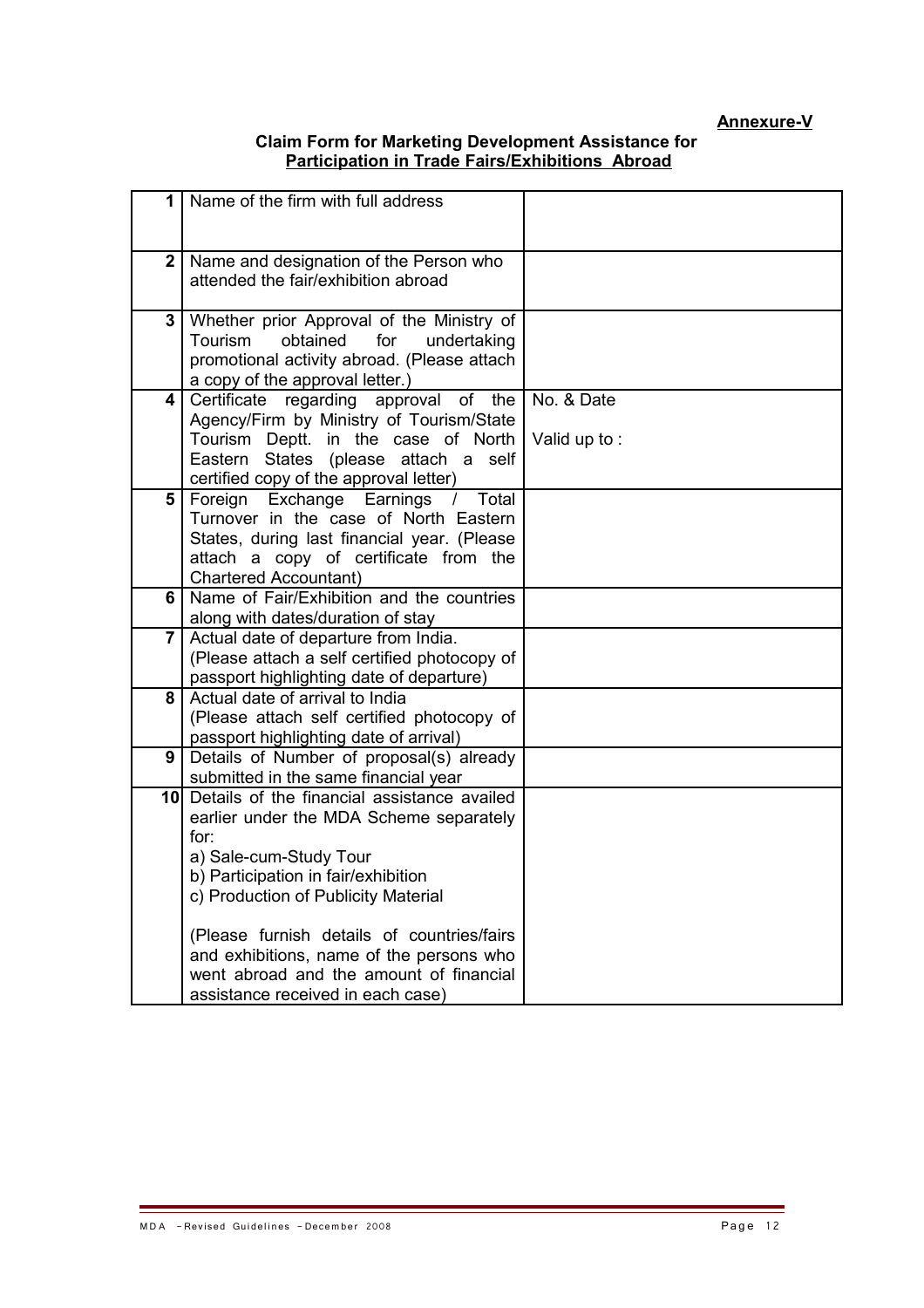# **Annexure-V**

## **Claim Form for Marketing Development Assistance for Participation in Trade Fairs/Exhibitions Abroad**

| 1 I            | Name of the firm with full address                                                                                                                                                                                                                      |                            |
|----------------|---------------------------------------------------------------------------------------------------------------------------------------------------------------------------------------------------------------------------------------------------------|----------------------------|
| $\mathbf{2}$   | Name and designation of the Person who<br>attended the fair/exhibition abroad                                                                                                                                                                           |                            |
| 3              | Whether prior Approval of the Ministry of<br>obtained<br><b>Tourism</b><br>for<br>undertaking<br>promotional activity abroad. (Please attach<br>a copy of the approval letter.)                                                                         |                            |
| 4              | Certificate regarding approval of the<br>Agency/Firm by Ministry of Tourism/State<br>Tourism Deptt. in the case of North<br>Eastern States (please attach a self<br>certified copy of the approval letter)                                              | No. & Date<br>Valid up to: |
| 5              | Foreign Exchange Earnings<br>Total<br>$\prime$<br>Turnover in the case of North Eastern<br>States, during last financial year. (Please<br>attach a copy of certificate from the<br><b>Chartered Accountant)</b>                                         |                            |
| 6              | Name of Fair/Exhibition and the countries<br>along with dates/duration of stay                                                                                                                                                                          |                            |
| $\overline{7}$ | Actual date of departure from India.<br>(Please attach a self certified photocopy of<br>passport highlighting date of departure)                                                                                                                        |                            |
| 8              | Actual date of arrival to India<br>(Please attach self certified photocopy of<br>passport highlighting date of arrival)                                                                                                                                 |                            |
| 9              | Details of Number of proposal(s) already<br>submitted in the same financial year                                                                                                                                                                        |                            |
|                | 10 Details of the financial assistance availed<br>earlier under the MDA Scheme separately<br>for:<br>a) Sale-cum-Study Tour<br>b) Participation in fair/exhibition<br>c) Production of Publicity Material<br>(Please furnish details of countries/fairs |                            |
|                | and exhibitions, name of the persons who<br>went abroad and the amount of financial<br>assistance received in each case)                                                                                                                                |                            |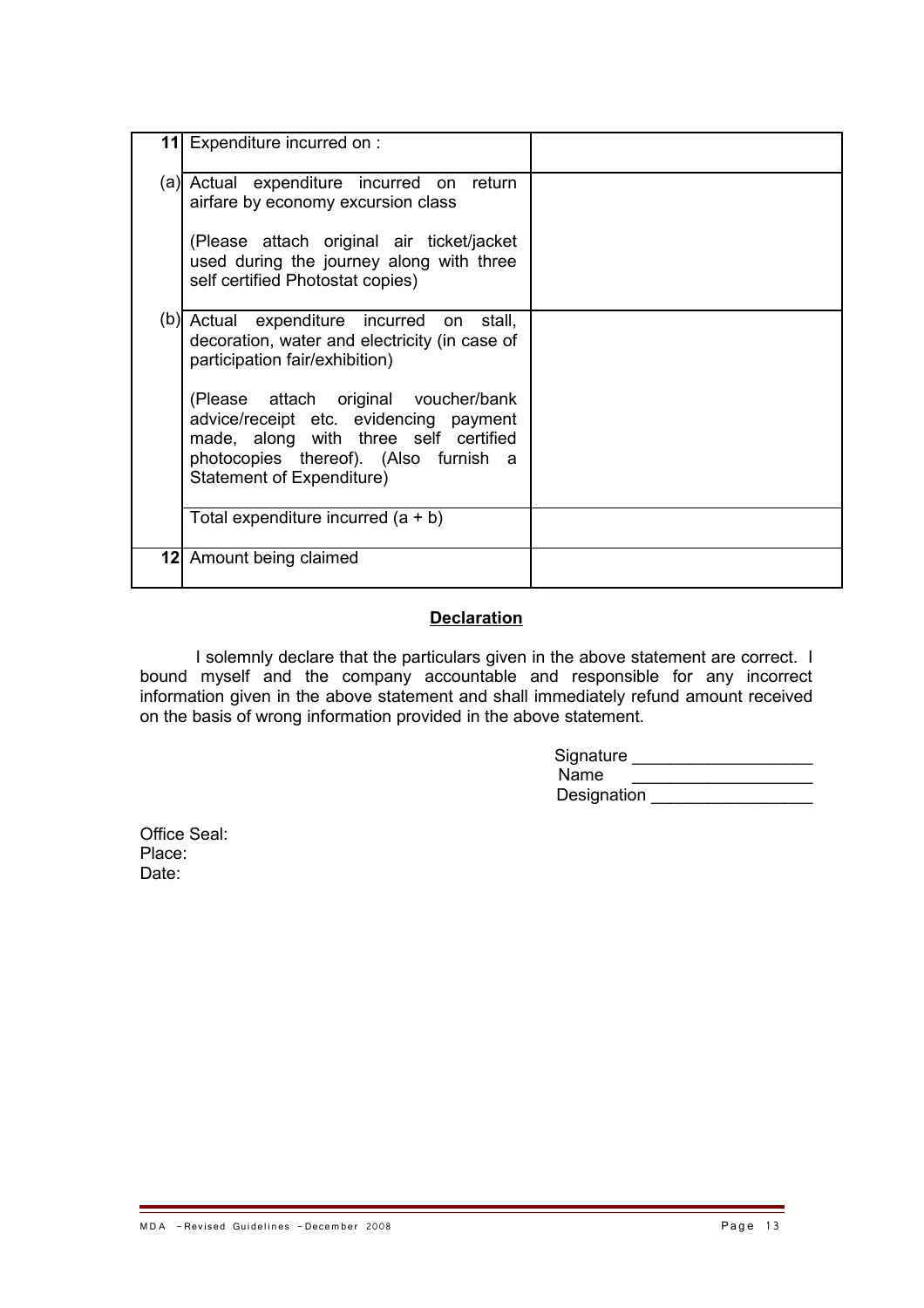| 11 Expenditure incurred on :                                                                                                                                                                  |  |
|-----------------------------------------------------------------------------------------------------------------------------------------------------------------------------------------------|--|
| (a) Actual expenditure incurred on return<br>airfare by economy excursion class                                                                                                               |  |
| (Please attach original air ticket/jacket<br>used during the journey along with three<br>self certified Photostat copies)                                                                     |  |
| (b) Actual expenditure incurred on stall,<br>decoration, water and electricity (in case of<br>participation fair/exhibition)                                                                  |  |
| (Please attach original voucher/bank<br>advice/receipt etc. evidencing payment<br>made, along with three self certified<br>photocopies thereof). (Also furnish a<br>Statement of Expenditure) |  |
| Total expenditure incurred $(a + b)$                                                                                                                                                          |  |
| 12 Amount being claimed                                                                                                                                                                       |  |

# **Declaration**

I solemnly declare that the particulars given in the above statement are correct. I bound myself and the company accountable and responsible for any incorrect information given in the above statement and shall immediately refund amount received on the basis of wrong information provided in the above statement.

| Signature   |  |
|-------------|--|
| Name        |  |
| Designation |  |

Office Seal: Place: Date: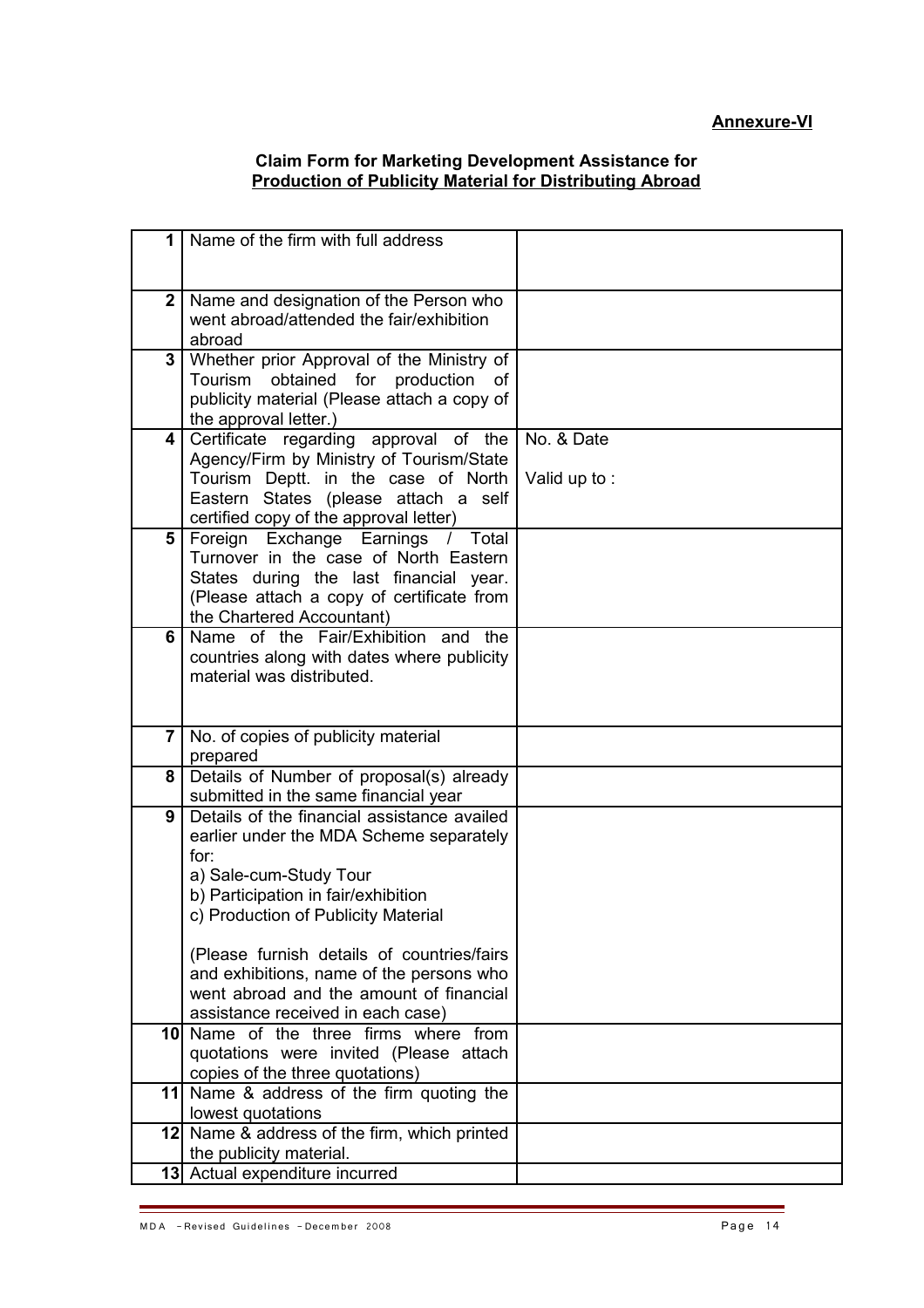# **Annexure-VI**

#### **Claim Form for Marketing Development Assistance for Production of Publicity Material for Distributing Abroad**

| 1                | Name of the firm with full address                                     |              |
|------------------|------------------------------------------------------------------------|--------------|
|                  |                                                                        |              |
|                  |                                                                        |              |
| $\boldsymbol{2}$ | Name and designation of the Person who                                 |              |
|                  | went abroad/attended the fair/exhibition                               |              |
|                  | abroad                                                                 |              |
| 3                | Whether prior Approval of the Ministry of                              |              |
|                  | obtained for production<br>Tourism<br>of                               |              |
|                  | publicity material (Please attach a copy of                            |              |
|                  | the approval letter.)                                                  |              |
| 4                | Certificate regarding approval of the                                  | No. & Date   |
|                  | Agency/Firm by Ministry of Tourism/State                               |              |
|                  | Tourism Deptt. in the case of North                                    | Valid up to: |
|                  | Eastern States (please attach a self                                   |              |
|                  | certified copy of the approval letter)                                 |              |
| 5                | Foreign Exchange Earnings<br>Total<br>$\sqrt{2}$                       |              |
|                  | Turnover in the case of North Eastern                                  |              |
|                  | States during the last financial year.                                 |              |
|                  | (Please attach a copy of certificate from<br>the Chartered Accountant) |              |
| 6                | Name of the Fair/Exhibition and the                                    |              |
|                  | countries along with dates where publicity                             |              |
|                  | material was distributed.                                              |              |
|                  |                                                                        |              |
|                  |                                                                        |              |
| 7                | No. of copies of publicity material                                    |              |
|                  | prepared                                                               |              |
| 8                | Details of Number of proposal(s) already                               |              |
|                  | submitted in the same financial year                                   |              |
| 9                | Details of the financial assistance availed                            |              |
|                  | earlier under the MDA Scheme separately                                |              |
|                  | for:                                                                   |              |
|                  | a) Sale-cum-Study Tour                                                 |              |
|                  | b) Participation in fair/exhibition                                    |              |
|                  | c) Production of Publicity Material                                    |              |
|                  |                                                                        |              |
|                  | (Please furnish details of countries/fairs                             |              |
|                  | and exhibitions, name of the persons who                               |              |
|                  | went abroad and the amount of financial                                |              |
|                  | assistance received in each case)                                      |              |
|                  | 10 Name of the three firms where from                                  |              |
|                  | quotations were invited (Please attach                                 |              |
|                  | copies of the three quotations)                                        |              |
|                  | 11 Name & address of the firm quoting the                              |              |
|                  | lowest quotations                                                      |              |
|                  | 12 Name & address of the firm, which printed                           |              |
|                  | the publicity material.                                                |              |
|                  | 13 Actual expenditure incurred                                         |              |

۰